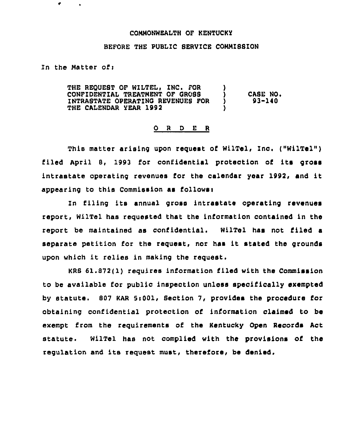## COMMONWEALTH OF KENTUCKY

## BEFORE THE PUBLIC SERVICE COMMISSION

In the Matter of:

٠

THE REQUEST OF WILTEL, INC. FOR CONFIDENTIAL TREATMENT OF OROBS INTRASTATE OPERATINO REVENUES FOR THE CALENDAR YEAR 1992 )  $\big\}$  CASE NO.<br>  $\big\}$  93-140 ) 93-140 )

## 0 <sup>R</sup> <sup>D</sup> E <sup>R</sup>

This matter arising upon request of WilTel, Inc. ("WilTel") filed April 8, 1993 for confidential protection of its gross intrastate operating revenues for the calendar year 1992, and it appearing to this Commission as follows:

In filing its annual gross intrastate operating revenues report, WilTel hae requested that the information contained in the report be maintained as confidential. WilTel has not filed a separate petition for the request, nor has it stated the grounds upon which it relies in making the request.

KRB 61.872(1) requires information filed with the Commission to be available for public inspection unless specifically exempted by statute. 807 KAR 5i001, Section 7, provides the procedure for obtaining confidential protection of information claimed to be exempt from the requirements of the Kentucky Open Records Act statute. WilTel has not complied with the provisions of the regulation and its request must, therefore, be denied.